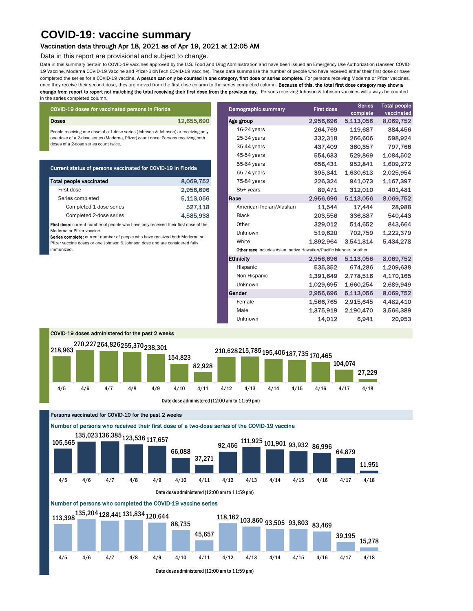Data in this summary pertain to COVID-19 vaccines approved by the U.S. Food and Drug Administration and have been issued an Emergency Use Authorization (Janssen COVID-19 Vaccine, Moderna COVID-19 Vaccine and Pfizer-BioNTech COVID-19 Vaccine). These data summarize the number of people who have received either their first dose or have completed the series for a COVID-19 vaccine. A person can only be counted in one category, first dose or series complete. For persons receiving Moderna or Pfizer vaccines, once they receive their second dose, they are moved from the first dose column to the series completed column. Because of this, the total first dose category may show a change from report to report not matching the total receiving their first dose from the previous day. Persons receiving Johnson & Johnson vaccines will always be counted in the series completed column.

## Vaccination data through Apr 18, 2021 as of Apr 19, 2021 at 12:05 AM

Data in this report are provisional and subject to change.

|                                       | COVID-19 doses for vaccinated persons in Florida                                                          |                                                      | Demographic summary                      | <b>First dose</b>                                                      | <b>Series</b> | <b>Total people</b> |  |  |  |  |
|---------------------------------------|-----------------------------------------------------------------------------------------------------------|------------------------------------------------------|------------------------------------------|------------------------------------------------------------------------|---------------|---------------------|--|--|--|--|
|                                       |                                                                                                           |                                                      |                                          |                                                                        | complete      | vaccinated          |  |  |  |  |
|                                       | <b>Doses</b>                                                                                              | 12,655,690                                           | Age group                                | 2,956,696                                                              | 5,113,056     | 8,069,752           |  |  |  |  |
|                                       | People receiving one dose of a 1-dose series (Johnson & Johnson) or receiving only                        |                                                      | 16-24 years                              | 264,769                                                                | 119,687       | 384,456             |  |  |  |  |
|                                       | one dose of a 2-dose series (Moderna, Pfizer) count once. Persons receiving both                          | 25-34 years                                          | 332,318                                  | 266,606                                                                | 598,924       |                     |  |  |  |  |
| doses of a 2-dose series count twice. |                                                                                                           |                                                      | 35-44 years                              | 437,409                                                                | 360,357       | 797,766             |  |  |  |  |
|                                       |                                                                                                           |                                                      | 45-54 years                              | 554,633                                                                | 529,869       | 1,084,502           |  |  |  |  |
|                                       | Current status of persons vaccinated for COVID-19 in Florida                                              |                                                      | 55-64 years                              | 656,431                                                                | 952,841       | 1,609,272           |  |  |  |  |
|                                       |                                                                                                           |                                                      | 65-74 years                              | 395,341                                                                | 1,630,613     | 2,025,954           |  |  |  |  |
|                                       | <b>Total people vaccinated</b>                                                                            | 8,069,752                                            | 75-84 years                              | 226,324                                                                | 941,073       | 1,167,397           |  |  |  |  |
|                                       | First dose                                                                                                | 2,956,696                                            | 85+ years                                | 89,471                                                                 | 312,010       | 401,481             |  |  |  |  |
|                                       | Series completed                                                                                          | 5,113,056                                            | Race                                     | 2,956,696                                                              | 5,113,056     | 8,069,752           |  |  |  |  |
|                                       | Completed 1-dose series                                                                                   | 527,118                                              | American Indian/Alaskan                  | 11,544                                                                 | 17,444        | 28,988              |  |  |  |  |
|                                       | Completed 2-dose series                                                                                   | 4,585,938                                            | <b>Black</b>                             | 203,556                                                                | 336,887       | 540,443             |  |  |  |  |
|                                       | First dose: current number of people who have only received their first dose of the                       |                                                      | Other                                    | 329,012                                                                | 514,652       | 843,664             |  |  |  |  |
|                                       | Moderna or Pfizer vaccine.<br>Series complete: current number of people who have received both Moderna or |                                                      | Unknown                                  | 519,620                                                                | 702,759       | 1,222,379           |  |  |  |  |
|                                       | Pfizer vaccine doses or one Johnson & Johnson dose and are considered fully                               |                                                      | White                                    | 1,892,964                                                              | 3,541,314     | 5,434,278           |  |  |  |  |
|                                       | immunized.                                                                                                |                                                      |                                          | Other race includes Asian, native Hawaiian/Pacific Islander, or other. |               |                     |  |  |  |  |
|                                       |                                                                                                           |                                                      | <b>Ethnicity</b>                         | 2,956,696                                                              | 5,113,056     | 8,069,752           |  |  |  |  |
|                                       |                                                                                                           |                                                      | Hispanic                                 | 535,352                                                                | 674,286       | 1,209,638           |  |  |  |  |
|                                       |                                                                                                           |                                                      | Non-Hispanic                             | 1,391,649                                                              | 2,778,516     | 4,170,165           |  |  |  |  |
|                                       |                                                                                                           |                                                      | Unknown                                  | 1,029,695                                                              | 1,660,254     | 2,689,949           |  |  |  |  |
|                                       |                                                                                                           |                                                      | Gender                                   | 2,956,696                                                              | 5,113,056     | 8,069,752           |  |  |  |  |
|                                       |                                                                                                           |                                                      | Female                                   | 1,566,765                                                              | 2,915,645     | 4,482,410           |  |  |  |  |
|                                       |                                                                                                           |                                                      | Male                                     | 1,375,919                                                              | 2,190,470     | 3,566,389           |  |  |  |  |
|                                       |                                                                                                           |                                                      | Unknown                                  | 14,012                                                                 | 6,941         | 20,953              |  |  |  |  |
|                                       |                                                                                                           |                                                      |                                          |                                                                        |               |                     |  |  |  |  |
|                                       | COVID-19 doses administered for the past 2 weeks                                                          |                                                      |                                          |                                                                        |               |                     |  |  |  |  |
|                                       | 270,227264,826255,370238,301                                                                              |                                                      |                                          |                                                                        |               |                     |  |  |  |  |
|                                       | 218,963                                                                                                   |                                                      | 210,628215,785 195,406 187,735 170,465   |                                                                        |               |                     |  |  |  |  |
|                                       |                                                                                                           | 154,823                                              |                                          |                                                                        | 104,074       |                     |  |  |  |  |
|                                       |                                                                                                           | 82,928                                               |                                          |                                                                        | 27,229        |                     |  |  |  |  |
|                                       |                                                                                                           |                                                      |                                          |                                                                        |               |                     |  |  |  |  |
|                                       | 4/6<br>4/5<br>4/7<br>4/8                                                                                  | 4/9<br>4/11<br>4/10                                  | 4/12<br>4/13<br>4/14<br>4/15             | 4/16                                                                   | 4/18<br>4/17  |                     |  |  |  |  |
|                                       |                                                                                                           |                                                      |                                          |                                                                        |               |                     |  |  |  |  |
|                                       |                                                                                                           | Date dose administered (12:00 am to 11:59 pm)        |                                          |                                                                        |               |                     |  |  |  |  |
|                                       |                                                                                                           | Persons vaccinated for COVID-19 for the past 2 weeks |                                          |                                                                        |               |                     |  |  |  |  |
|                                       |                                                                                                           |                                                      |                                          |                                                                        |               |                     |  |  |  |  |
|                                       | 135,023136,385 123,536 117,657                                                                            |                                                      |                                          |                                                                        |               |                     |  |  |  |  |
|                                       | 105,565                                                                                                   |                                                      | 92.466 $111,925$ $101,901$ 93.932.86.006 |                                                                        |               |                     |  |  |  |  |

## **COVID-19: vaccine summary**